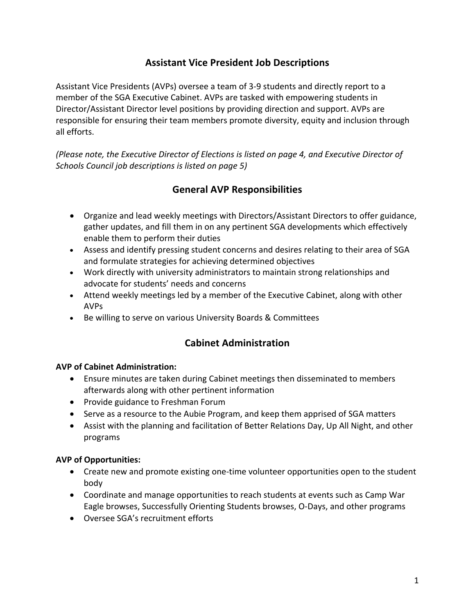# **Assistant Vice President Job Descriptions**

Assistant Vice Presidents (AVPs) oversee a team of 3-9 students and directly report to a member of the SGA Executive Cabinet. AVPs are tasked with empowering students in Director/Assistant Director level positions by providing direction and support. AVPs are responsible for ensuring their team members promote diversity, equity and inclusion through all efforts.

*(Please note, the Executive Director of Elections is listed on page 4, and Executive Director of Schools Council job descriptions is listed on page 5)*

# **General AVP Responsibilities**

- Organize and lead weekly meetings with Directors/Assistant Directors to offer guidance, gather updates, and fill them in on any pertinent SGA developments which effectively enable them to perform their duties
- Assess and identify pressing student concerns and desires relating to their area of SGA and formulate strategies for achieving determined objectives
- Work directly with university administrators to maintain strong relationships and advocate for students' needs and concerns
- Attend weekly meetings led by a member of the Executive Cabinet, along with other AVPs
- Be willing to serve on various University Boards & Committees

## **Cabinet Administration**

#### **AVP of Cabinet Administration:**

- Ensure minutes are taken during Cabinet meetings then disseminated to members afterwards along with other pertinent information
- Provide guidance to Freshman Forum
- Serve as a resource to the Aubie Program, and keep them apprised of SGA matters
- Assist with the planning and facilitation of Better Relations Day, Up All Night, and other programs

#### **AVP of Opportunities:**

- Create new and promote existing one-time volunteer opportunities open to the student body
- Coordinate and manage opportunities to reach students at events such as Camp War Eagle browses, Successfully Orienting Students browses, O-Days, and other programs
- Oversee SGA's recruitment efforts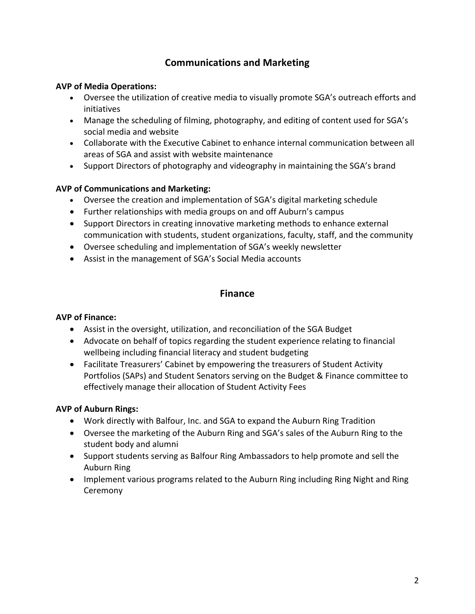# **Communications and Marketing**

#### **AVP of Media Operations:**

- Oversee the utilization of creative media to visually promote SGA's outreach efforts and initiatives
- Manage the scheduling of filming, photography, and editing of content used for SGA's social media and website
- Collaborate with the Executive Cabinet to enhance internal communication between all areas of SGA and assist with website maintenance
- Support Directors of photography and videography in maintaining the SGA's brand

#### **AVP of Communications and Marketing:**

- Oversee the creation and implementation of SGA's digital marketing schedule
- Further relationships with media groups on and off Auburn's campus
- Support Directors in creating innovative marketing methods to enhance external communication with students, student organizations, faculty, staff, and the community
- Oversee scheduling and implementation of SGA's weekly newsletter
- Assist in the management of SGA's Social Media accounts

## **Finance**

#### **AVP of Finance:**

- Assist in the oversight, utilization, and reconciliation of the SGA Budget
- Advocate on behalf of topics regarding the student experience relating to financial wellbeing including financial literacy and student budgeting
- Facilitate Treasurers' Cabinet by empowering the treasurers of Student Activity Portfolios (SAPs) and Student Senators serving on the Budget & Finance committee to effectively manage their allocation of Student Activity Fees

## **AVP of Auburn Rings:**

- Work directly with Balfour, Inc. and SGA to expand the Auburn Ring Tradition
- Oversee the marketing of the Auburn Ring and SGA's sales of the Auburn Ring to the student body and alumni
- Support students serving as Balfour Ring Ambassadors to help promote and sell the Auburn Ring
- Implement various programs related to the Auburn Ring including Ring Night and Ring Ceremony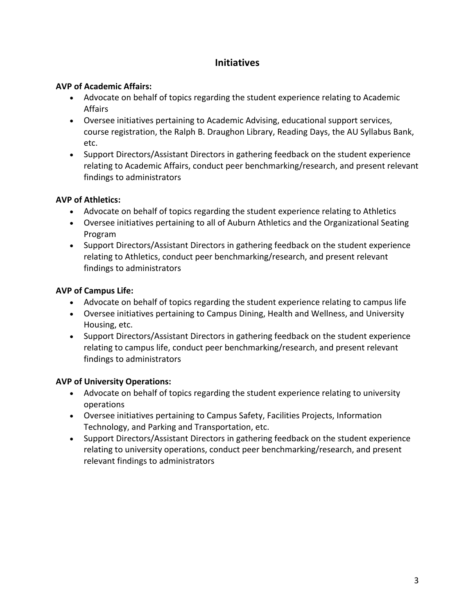# **Initiatives**

#### **AVP of Academic Affairs:**

- Advocate on behalf of topics regarding the student experience relating to Academic Affairs
- Oversee initiatives pertaining to Academic Advising, educational support services, course registration, the Ralph B. Draughon Library, Reading Days, the AU Syllabus Bank, etc.
- Support Directors/Assistant Directors in gathering feedback on the student experience relating to Academic Affairs, conduct peer benchmarking/research, and present relevant findings to administrators

#### **AVP of Athletics:**

- Advocate on behalf of topics regarding the student experience relating to Athletics
- Oversee initiatives pertaining to all of Auburn Athletics and the Organizational Seating Program
- Support Directors/Assistant Directors in gathering feedback on the student experience relating to Athletics, conduct peer benchmarking/research, and present relevant findings to administrators

## **AVP of Campus Life:**

- Advocate on behalf of topics regarding the student experience relating to campus life
- Oversee initiatives pertaining to Campus Dining, Health and Wellness, and University Housing, etc.
- Support Directors/Assistant Directors in gathering feedback on the student experience relating to campus life, conduct peer benchmarking/research, and present relevant findings to administrators

## **AVP of University Operations:**

- Advocate on behalf of topics regarding the student experience relating to university operations
- Oversee initiatives pertaining to Campus Safety, Facilities Projects, Information Technology, and Parking and Transportation, etc.
- Support Directors/Assistant Directors in gathering feedback on the student experience relating to university operations, conduct peer benchmarking/research, and present relevant findings to administrators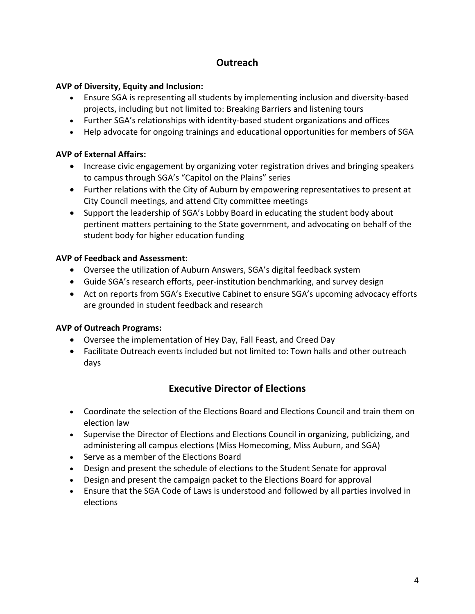# **Outreach**

#### **AVP of Diversity, Equity and Inclusion:**

- Ensure SGA is representing all students by implementing inclusion and diversity-based projects, including but not limited to: Breaking Barriers and listening tours
- Further SGA's relationships with identity-based student organizations and offices
- Help advocate for ongoing trainings and educational opportunities for members of SGA

#### **AVP of External Affairs:**

- Increase civic engagement by organizing voter registration drives and bringing speakers to campus through SGA's "Capitol on the Plains" series
- Further relations with the City of Auburn by empowering representatives to present at City Council meetings, and attend City committee meetings
- Support the leadership of SGA's Lobby Board in educating the student body about pertinent matters pertaining to the State government, and advocating on behalf of the student body for higher education funding

#### **AVP of Feedback and Assessment:**

- Oversee the utilization of Auburn Answers, SGA's digital feedback system
- Guide SGA's research efforts, peer-institution benchmarking, and survey design
- Act on reports from SGA's Executive Cabinet to ensure SGA's upcoming advocacy efforts are grounded in student feedback and research

## **AVP of Outreach Programs:**

- Oversee the implementation of Hey Day, Fall Feast, and Creed Day
- Facilitate Outreach events included but not limited to: Town halls and other outreach days

# **Executive Director of Elections**

- Coordinate the selection of the Elections Board and Elections Council and train them on election law
- Supervise the Director of Elections and Elections Council in organizing, publicizing, and administering all campus elections (Miss Homecoming, Miss Auburn, and SGA)
- Serve as a member of the Elections Board
- Design and present the schedule of elections to the Student Senate for approval
- Design and present the campaign packet to the Elections Board for approval
- Ensure that the SGA Code of Laws is understood and followed by all parties involved in elections